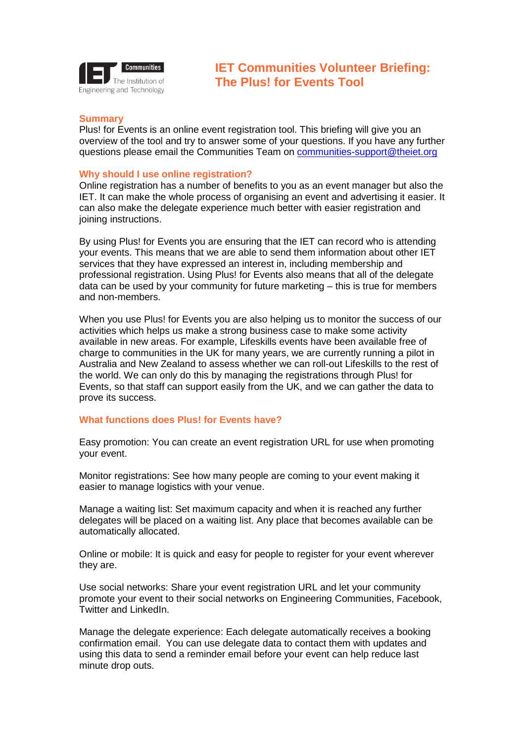

# **Summary**

Plus! for Events is an online event registration tool. This briefing will give you an overview of the tool and try to answer some of your questions. If you have any further questions please email the Communities Team on [communities-support@theiet.org](mailto:communities-suppport@theiet.org)

## **Why should I use online registration?**

Online registration has a number of benefits to you as an event manager but also the IET. It can make the whole process of organising an event and advertising it easier. It can also make the delegate experience much better with easier registration and joining instructions.

By using Plus! for Events you are ensuring that the IET can record who is attending your events. This means that we are able to send them information about other IET services that they have expressed an interest in, including membership and professional registration. Using Plus! for Events also means that all of the delegate data can be used by your community for future marketing – this is true for members and non-members.

When you use Plus! for Events you are also helping us to monitor the success of our activities which helps us make a strong business case to make some activity available in new areas. For example, Lifeskills events have been available free of charge to communities in the UK for many years, we are currently running a pilot in Australia and New Zealand to assess whether we can roll-out Lifeskills to the rest of the world. We can only do this by managing the registrations through Plus! for Events, so that staff can support easily from the UK, and we can gather the data to prove its success.

# **What functions does Plus! for Events have?**

Easy promotion: You can create an event registration URL for use when promoting your event.

Monitor registrations: See how many people are coming to your event making it easier to manage logistics with your venue.

Manage a waiting list: Set maximum capacity and when it is reached any further delegates will be placed on a waiting list. Any place that becomes available can be automatically allocated.

Online or mobile: It is quick and easy for people to register for your event wherever they are.

Use social networks: Share your event registration URL and let your community promote your event to their social networks on Engineering Communities, Facebook, Twitter and LinkedIn.

Manage the delegate experience: Each delegate automatically receives a booking confirmation email. You can use delegate data to contact them with updates and using this data to send a reminder email before your event can help reduce last minute drop outs.